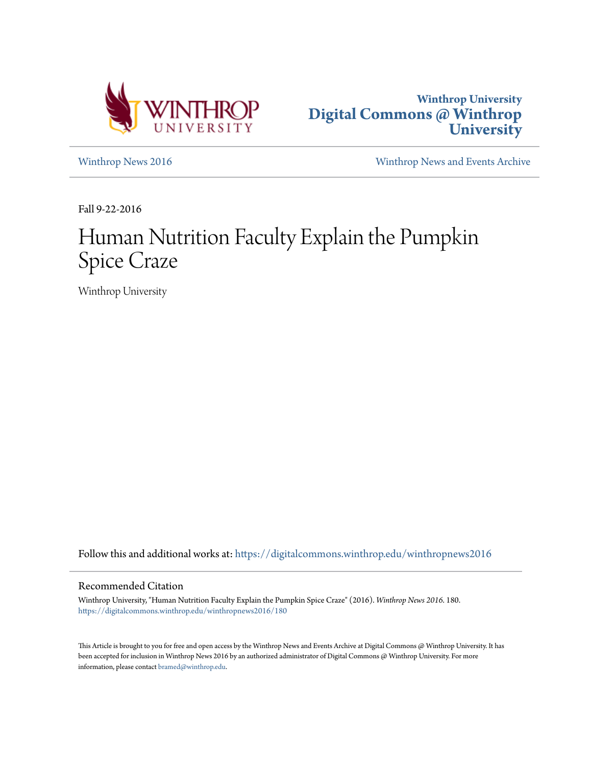



[Winthrop News 2016](https://digitalcommons.winthrop.edu/winthropnews2016?utm_source=digitalcommons.winthrop.edu%2Fwinthropnews2016%2F180&utm_medium=PDF&utm_campaign=PDFCoverPages) [Winthrop News and Events Archive](https://digitalcommons.winthrop.edu/winthropnewsarchives?utm_source=digitalcommons.winthrop.edu%2Fwinthropnews2016%2F180&utm_medium=PDF&utm_campaign=PDFCoverPages)

Fall 9-22-2016

## Human Nutrition Faculty Explain the Pumpkin Spice Craze

Winthrop University

Follow this and additional works at: [https://digitalcommons.winthrop.edu/winthropnews2016](https://digitalcommons.winthrop.edu/winthropnews2016?utm_source=digitalcommons.winthrop.edu%2Fwinthropnews2016%2F180&utm_medium=PDF&utm_campaign=PDFCoverPages)

### Recommended Citation

Winthrop University, "Human Nutrition Faculty Explain the Pumpkin Spice Craze" (2016). *Winthrop News 2016*. 180. [https://digitalcommons.winthrop.edu/winthropnews2016/180](https://digitalcommons.winthrop.edu/winthropnews2016/180?utm_source=digitalcommons.winthrop.edu%2Fwinthropnews2016%2F180&utm_medium=PDF&utm_campaign=PDFCoverPages)

This Article is brought to you for free and open access by the Winthrop News and Events Archive at Digital Commons @ Winthrop University. It has been accepted for inclusion in Winthrop News 2016 by an authorized administrator of Digital Commons @ Winthrop University. For more information, please contact [bramed@winthrop.edu](mailto:bramed@winthrop.edu).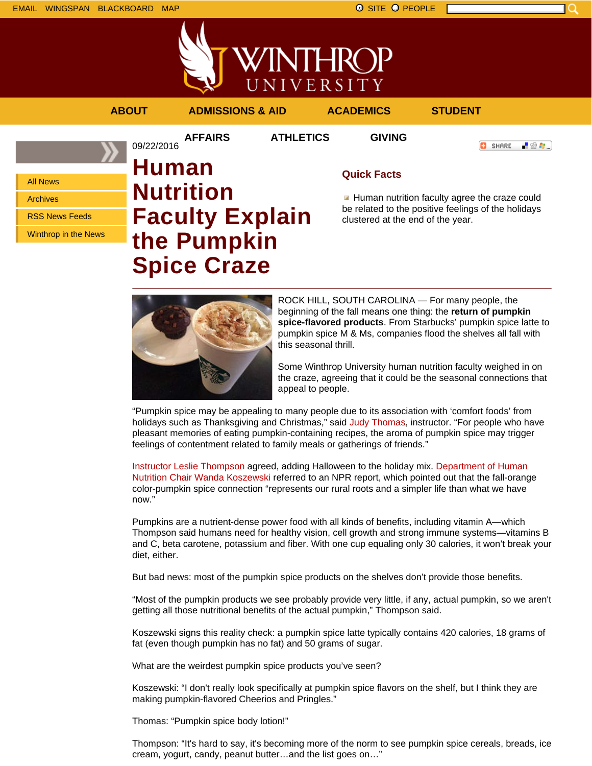



## **ABOUT ADMISSIONS & AID ACADEMICS STUDENT**

09/22/2016

**AFFAIRS ATHLETICS GIVING**

**O** SHARE

- 89 年 -

All News

Archives

RSS News Feeds

Winthrop in the News

# **Human Nutrition Faculty Explain the Pumpkin Spice Craze**

## **Quick Facts**

Human nutrition faculty agree the craze could be related to the positive feelings of the holidays clustered at the end of the year.



ROCK HILL, SOUTH CAROLINA — For many people, the beginning of the fall means one thing: the **return of pumpkin spice-flavored products**. From Starbucks' pumpkin spice latte to pumpkin spice M & Ms, companies flood the shelves all fall with this seasonal thrill.

Some Winthrop University human nutrition faculty weighed in on the craze, agreeing that it could be the seasonal connections that appeal to people.

"Pumpkin spice may be appealing to many people due to its association with 'comfort foods' from holidays such as Thanksgiving and Christmas," said Judy Thomas, instructor. "For people who have pleasant memories of eating pumpkin-containing recipes, the aroma of pumpkin spice may trigger feelings of contentment related to family meals or gatherings of friends."

Instructor Leslie Thompson agreed, adding Halloween to the holiday mix. Department of Human Nutrition Chair Wanda Koszewski referred to an NPR report, which pointed out that the fall-orange color-pumpkin spice connection "represents our rural roots and a simpler life than what we have now."

Pumpkins are a nutrient-dense power food with all kinds of benefits, including vitamin A—which Thompson said humans need for healthy vision, cell growth and strong immune systems—vitamins B and C, beta carotene, potassium and fiber. With one cup equaling only 30 calories, it won't break your diet, either.

But bad news: most of the pumpkin spice products on the shelves don't provide those benefits.

"Most of the pumpkin products we see probably provide very little, if any, actual pumpkin, so we aren't getting all those nutritional benefits of the actual pumpkin," Thompson said.

Koszewski signs this reality check: a pumpkin spice latte typically contains 420 calories, 18 grams of fat (even though pumpkin has no fat) and 50 grams of sugar.

What are the weirdest pumpkin spice products you've seen?

Koszewski: "I don't really look specifically at pumpkin spice flavors on the shelf, but I think they are making pumpkin-flavored Cheerios and Pringles."

Thomas: "Pumpkin spice body lotion!"

Thompson: "It's hard to say, it's becoming more of the norm to see pumpkin spice cereals, breads, ice cream, yogurt, candy, peanut butter…and the list goes on…"